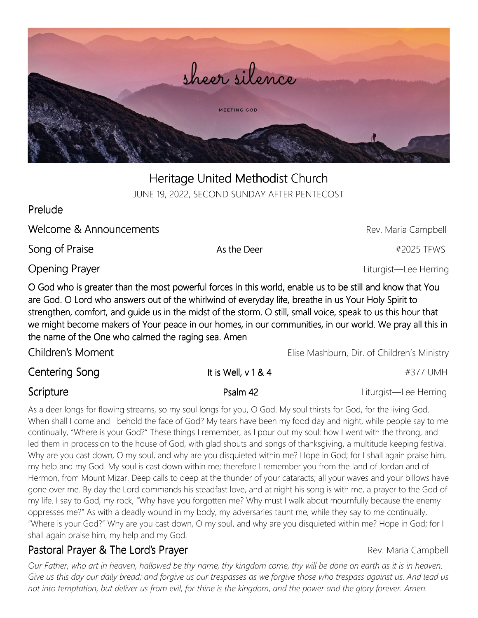

# Heritage United Methodist Church JUNE 19, 2022, SECOND SUNDAY AFTER PENTECOST

# Prelude

Welcome & Announcements **Exercise 20 Announcements** Rev. Maria Campbell

Song of Praise **As the Deer** As the Deer #2025 TFWS

O God who is greater than the most powerful forces in this world, enable us to be still and know that You are God. O Lord who answers out of the whirlwind of everyday life, breathe in us Your Holy Spirit to strengthen, comfort, and guide us in the midst of the storm. O still, small voice, speak to us this hour that we might become makers of Your peace in our homes, in our communities, in our world. We pray all this in the name of the One who calmed the raging sea. Amen

Children's Moment **Elise Mashburn, Dir. of Children's Ministry** 

# Centering Song It is Well, v 1 & 4  $\#377$  UMH

## Scripture **Contains a Container Scripture** Psalm 42 **Container Liturgist—Lee Herring**

As a deer longs for flowing streams, so my soul longs for you, O God. My soul thirsts for God, for the living God. When shall I come and behold the face of God? My tears have been my food day and night, while people say to me continually, "Where is your God?" These things I remember, as I pour out my soul: how I went with the throng, and led them in procession to the house of God, with glad shouts and songs of thanksgiving, a multitude keeping festival. Why are you cast down, O my soul, and why are you disquieted within me? Hope in God; for I shall again praise him, my help and my God. My soul is cast down within me; therefore I remember you from the land of Jordan and of Hermon, from Mount Mizar. Deep calls to deep at the thunder of your cataracts; all your waves and your billows have gone over me. By day the Lord commands his steadfast love, and at night his song is with me, a prayer to the God of my life. I say to God, my rock, "Why have you forgotten me? Why must I walk about mournfully because the enemy oppresses me?" As with a deadly wound in my body, my adversaries taunt me, while they say to me continually, "Where is your God?" Why are you cast down, O my soul, and why are you disquieted within me? Hope in God; for I shall again praise him, my help and my God.

# Pastoral Prayer & The Lord's Prayer **Rev. Maria Campbell** Rev. Maria Campbell

*Our Father, who art in heaven, hallowed be thy name, thy kingdom come, thy will be done on earth as it is in heaven. Give us this day our daily bread; and forgive us our trespasses as we forgive those who trespass against us. And lead us*  not into temptation, but deliver us from evil, for thine is the kingdom, and the power and the glory forever. Amen.

**Opening Prayer Contract Contract Contract Contract Contract Contract Contract Contract Contract Contract Contract Contract Contract Contract Contract Contract Contract Contract Contract Contract Contract Contract Contract** 

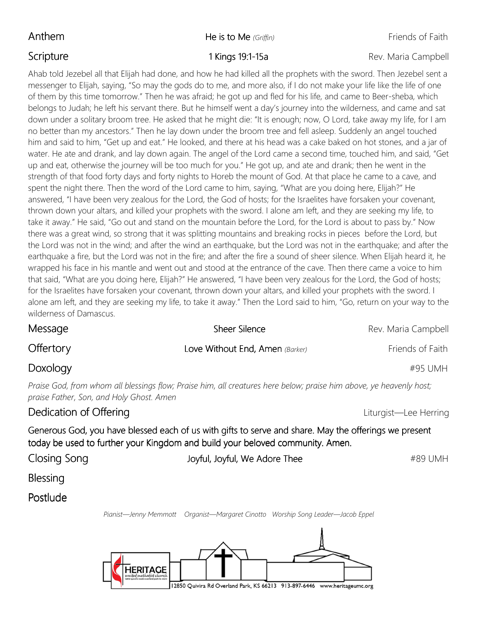### Anthem **Anthem He is to Me** *(Griffin)* Friends of Faith

### Scripture 1 Kings 19:1-15a Rev. Maria Campbell

Ahab told Jezebel all that Elijah had done, and how he had killed all the prophets with the sword. Then Jezebel sent a messenger to Elijah, saying, "So may the gods do to me, and more also, if I do not make your life like the life of one of them by this time tomorrow." Then he was afraid; he got up and fled for his life, and came to Beer-sheba, which belongs to Judah; he left his servant there. But he himself went a day's journey into the wilderness, and came and sat down under a solitary broom tree. He asked that he might die: "It is enough; now, O Lord, take away my life, for I am no better than my ancestors." Then he lay down under the broom tree and fell asleep. Suddenly an angel touched him and said to him, "Get up and eat." He looked, and there at his head was a cake baked on hot stones, and a jar of water. He ate and drank, and lay down again. The angel of the Lord came a second time, touched him, and said, "Get up and eat, otherwise the journey will be too much for you." He got up, and ate and drank; then he went in the strength of that food forty days and forty nights to Horeb the mount of God. At that place he came to a cave, and spent the night there. Then the word of the Lord came to him, saying, "What are you doing here, Elijah?" He answered, "I have been very zealous for the Lord, the God of hosts; for the Israelites have forsaken your covenant, thrown down your altars, and killed your prophets with the sword. I alone am left, and they are seeking my life, to take it away." He said, "Go out and stand on the mountain before the Lord, for the Lord is about to pass by." Now there was a great wind, so strong that it was splitting mountains and breaking rocks in pieces before the Lord, but the Lord was not in the wind; and after the wind an earthquake, but the Lord was not in the earthquake; and after the earthquake a fire, but the Lord was not in the fire; and after the fire a sound of sheer silence. When Elijah heard it, he wrapped his face in his mantle and went out and stood at the entrance of the cave. Then there came a voice to him that said, "What are you doing here, Elijah?" He answered, "I have been very zealous for the Lord, the God of hosts; for the Israelites have forsaken your covenant, thrown down your altars, and killed your prophets with the sword. I alone am left, and they are seeking my life, to take it away." Then the Lord said to him, "Go, return on your way to the wilderness of Damascus.

| Message                                                                                                                                                                                | <b>Sheer Silence</b>            | Rev. Maria Campbell   |  |  |
|----------------------------------------------------------------------------------------------------------------------------------------------------------------------------------------|---------------------------------|-----------------------|--|--|
| Offertory                                                                                                                                                                              | Love Without End, Amen (Barker) | Friends of Faith      |  |  |
| Doxology                                                                                                                                                                               |                                 | #95 UMH               |  |  |
| Praise God, from whom all blessings flow; Praise him, all creatures here below; praise him above, ye heavenly host;<br>praise Father, Son, and Holy Ghost. Amen                        |                                 |                       |  |  |
| Dedication of Offering                                                                                                                                                                 |                                 | Liturgist-Lee Herring |  |  |
| Generous God, you have blessed each of us with gifts to serve and share. May the offerings we present<br>today be used to further your Kingdom and build your beloved community. Amen. |                                 |                       |  |  |

| <b>Closing Song</b> | Joyful, Joyful, We Adore Thee                                                   | #89 UMH |
|---------------------|---------------------------------------------------------------------------------|---------|
| Blessing            |                                                                                 |         |
| Postlude            |                                                                                 |         |
|                     | Pianist—Jenny Memmott Organist—Margaret Cinotto Worship Song Leader—Jacob Eppel |         |
|                     |                                                                                 |         |

**HERITAGE** 

12850 Quivira Rd Overland Park, KS 66213 913-897-6446 www.heritageumc.org